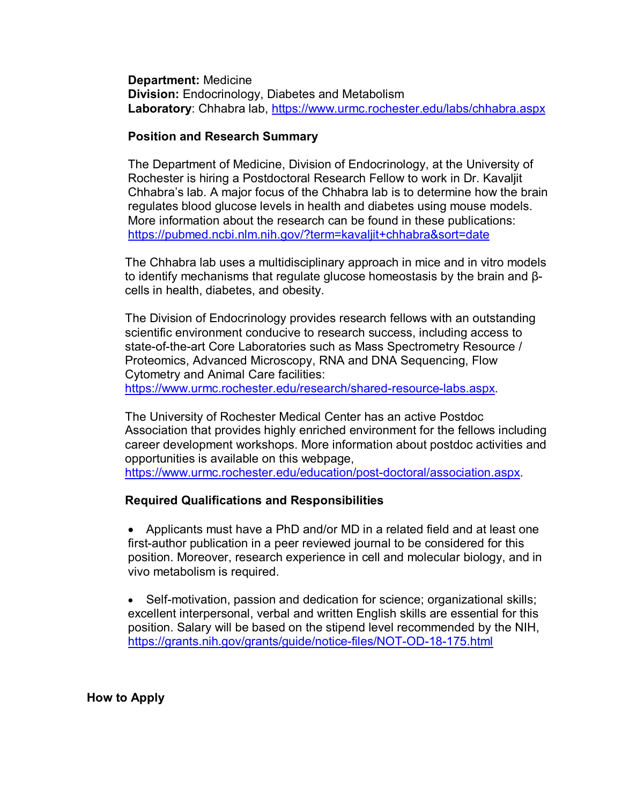**Department:** Medicine **Division:** Endocrinology, Diabetes and Metabolism **Laboratory**: Chhabra lab,<https://www.urmc.rochester.edu/labs/chhabra.aspx>

## **Position and Research Summary**

The Department of Medicine, Division of Endocrinology, at the University of Rochester is hiring a Postdoctoral Research Fellow to work in Dr. Kavaljit Chhabra's lab. A major focus of the Chhabra lab is to determine how the brain regulates blood glucose levels in health and diabetes using mouse models. More information about the research can be found in these publications: <https://pubmed.ncbi.nlm.nih.gov/?term=kavaljit+chhabra&sort=date>

The Chhabra lab uses a multidisciplinary approach in mice and in vitro models to identify mechanisms that regulate glucose homeostasis by the brain and βcells in health, diabetes, and obesity.

The Division of Endocrinology provides research fellows with an outstanding scientific environment conducive to research success, including access to state-of-the-art Core Laboratories such as Mass Spectrometry Resource / Proteomics, Advanced Microscopy, RNA and DNA Sequencing, Flow Cytometry and Animal Care facilities:

[https://www.urmc.rochester.edu/research/shared-resource-labs.aspx.](https://www.urmc.rochester.edu/research/shared-resource-labs.aspx)

The University of Rochester Medical Center has an active Postdoc Association that provides highly enriched environment for the fellows including career development workshops. More information about postdoc activities and opportunities is available on this webpage, [https://www.urmc.rochester.edu/education/post-doctoral/association.aspx.](https://www.urmc.rochester.edu/education/post-doctoral/association.aspx)

## **Required Qualifications and Responsibilities**

• Applicants must have a PhD and/or MD in a related field and at least one first-author publication in a peer reviewed journal to be considered for this position. Moreover, research experience in cell and molecular biology, and in vivo metabolism is required.

• Self-motivation, passion and dedication for science; organizational skills; excellent interpersonal, verbal and written English skills are essential for this position. Salary will be based on the stipend level recommended by the NIH, <https://grants.nih.gov/grants/guide/notice-files/NOT-OD-18-175.html>

 **How to Apply**